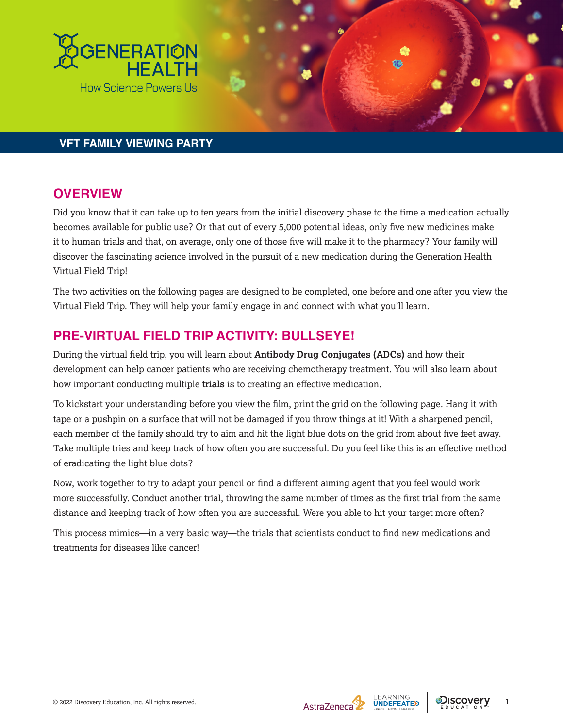

### **VFT FAMILY VIEWING PARTY**

## **OVERVIEW**

Did you know that it can take up to ten years from the initial discovery phase to the time a medication actually becomes available for public use? Or that out of every 5,000 potential ideas, only five new medicines make it to human trials and that, on average, only one of those five will make it to the pharmacy? Your family will discover the fascinating science involved in the pursuit of a new medication during the Generation Health Virtual Field Trip!

The two activities on the following pages are designed to be completed, one before and one after you view the Virtual Field Trip. They will help your family engage in and connect with what you'll learn.

## **PRE-VIRTUAL FIELD TRIP ACTIVITY: BULLSEYE!**

During the virtual field trip, you will learn about **Antibody Drug Conjugates (ADCs)** and how their development can help cancer patients who are receiving chemotherapy treatment. You will also learn about how important conducting multiple **trials** is to creating an effective medication.

To kickstart your understanding before you view the film, print the grid on the following page. Hang it with tape or a pushpin on a surface that will not be damaged if you throw things at it! With a sharpened pencil, each member of the family should try to aim and hit the light blue dots on the grid from about five feet away. Take multiple tries and keep track of how often you are successful. Do you feel like this is an effective method of eradicating the light blue dots?

Now, work together to try to adapt your pencil or find a different aiming agent that you feel would work more successfully. Conduct another trial, throwing the same number of times as the first trial from the same distance and keeping track of how often you are successful. Were you able to hit your target more often?

This process mimics—in a very basic way—the trials that scientists conduct to find new medications and treatments for diseases like cancer!







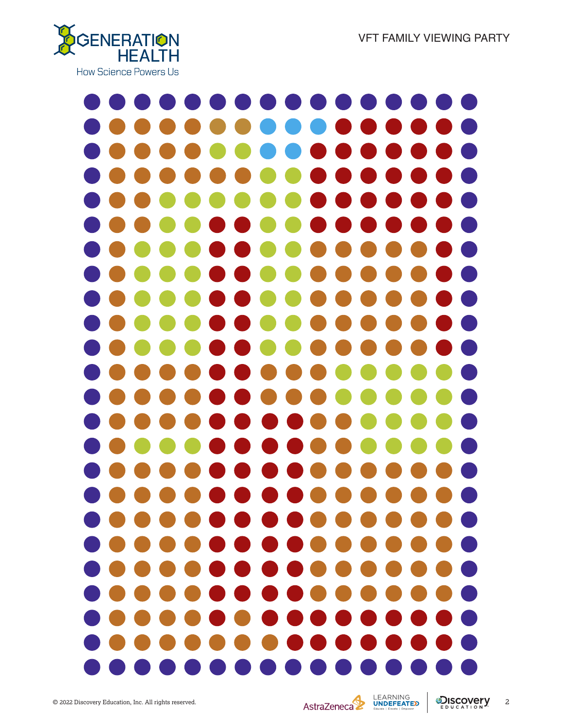



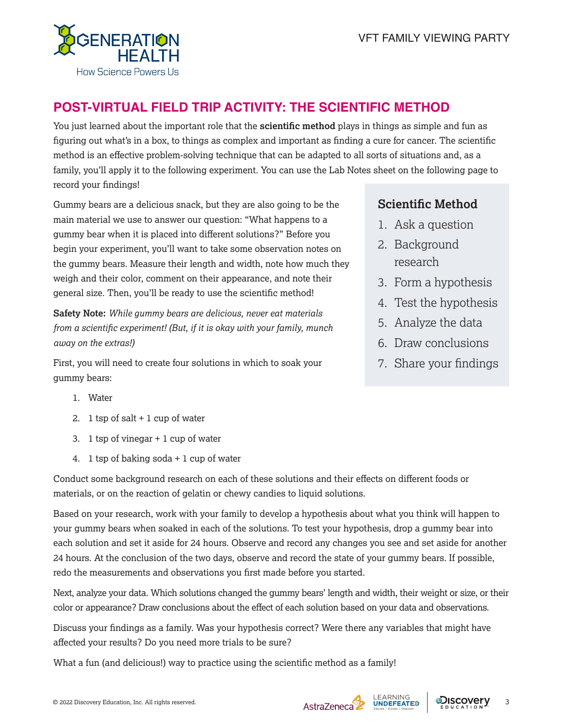

# **POST-VIRTUAL FIELD TRIP ACTIVITY: THE SCIENTIFIC METHOD**

You just learned about the important role that the **scientific method** plays in things as simple and fun as figuring out what's in a box, to things as complex and important as finding a cure for cancer. The scientific method is an effective problem-solving technique that can be adapted to all sorts of situations and, as a family, you'll apply it to the following experiment. You can use the Lab Notes sheet on the following page to record your findings!

Gummy bears are a delicious snack, but they are also going to be the main material we use to answer our question: "What happens to a gummy bear when it is placed into different solutions?" Before you begin your experiment, you'll want to take some observation notes on the gummy bears. Measure their length and width, note how much they weigh and their color, comment on their appearance, and note their general size. Then, you'll be ready to use the scientific method!

**Safety Note:** *While gummy bears are delicious, never eat materials from a scientific experiment! (But, if it is okay with your family, munch away on the extras!)* 

First, you will need to create four solutions in which to soak your gummy bears:

- 1. Water
- 2. 1 tsp of salt  $+1$  cup of water
- 3. 1 tsp of vinegar + 1 cup of water
- 4. 1 tsp of baking soda  $+1$  cup of water

Conduct some background research on each of these solutions and their effects on different foods or materials, or on the reaction of gelatin or chewy candies to liquid solutions.

Based on your research, work with your family to develop a hypothesis about what you think will happen to your gummy bears when soaked in each of the solutions. To test your hypothesis, drop a gummy bear into each solution and set it aside for 24 hours. Observe and record any changes you see and set aside for another 24 hours. At the conclusion of the two days, observe and record the state of your gummy bears. If possible, redo the measurements and observations you first made before you started.

Next, analyze your data. Which solutions changed the gummy bears' length and width, their weight or size, or their color or appearance? Draw conclusions about the effect of each solution based on your data and observations.

Discuss your findings as a family. Was your hypothesis correct? Were there any variables that might have affected your results? Do you need more trials to be sure?

What a fun (and delicious!) way to practice using the scientific method as a family!



- 1. Ask a question
- 2. Background research
- 3. Form a hypothesis
- 4. Test the hypothesis
- 5. Analyze the data
- 6. Draw conclusions
- 7. Share your findings



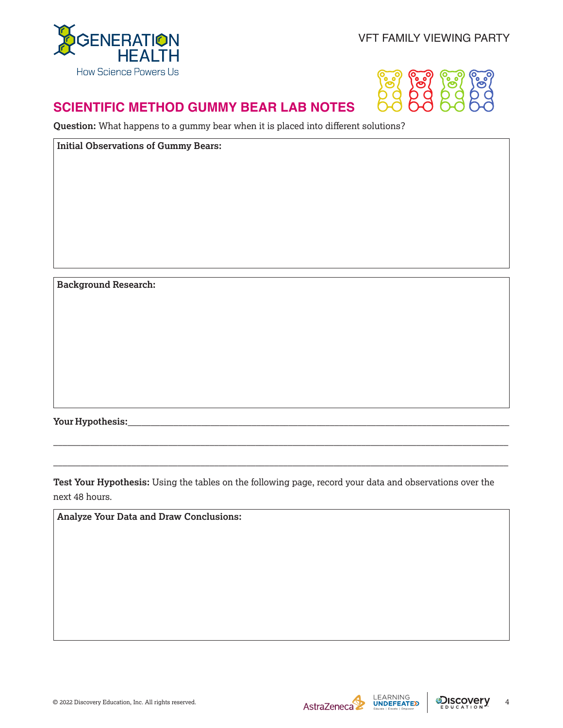



# **SCIENTIFIC METHOD GUMMY BEAR LAB NOTES**

**Question:** What happens to a gummy bear when it is placed into different solutions?

**Initial Observations of Gummy Bears:**

**Background Research:**

**Your Hypothesis:**\_\_\_\_\_\_\_\_\_\_\_\_\_\_\_\_\_\_\_\_\_\_\_\_\_\_\_\_\_\_\_\_\_\_\_\_\_\_\_\_\_\_\_\_\_\_\_\_\_\_\_\_\_\_\_\_\_\_\_\_\_\_\_\_\_\_\_\_\_\_\_\_\_\_\_\_\_\_\_\_\_\_\_

**Test Your Hypothesis:** Using the tables on the following page, record your data and observations over the next 48 hours.

\_\_\_\_\_\_\_\_\_\_\_\_\_\_\_\_\_\_\_\_\_\_\_\_\_\_\_\_\_\_\_\_\_\_\_\_\_\_\_\_\_\_\_\_\_\_\_\_\_\_\_\_\_\_\_\_\_\_\_\_\_\_\_\_\_\_\_\_\_\_\_\_\_\_\_\_\_\_\_\_\_\_\_\_\_\_\_\_\_\_\_\_\_\_\_\_\_\_\_

\_\_\_\_\_\_\_\_\_\_\_\_\_\_\_\_\_\_\_\_\_\_\_\_\_\_\_\_\_\_\_\_\_\_\_\_\_\_\_\_\_\_\_\_\_\_\_\_\_\_\_\_\_\_\_\_\_\_\_\_\_\_\_\_\_\_\_\_\_\_\_\_\_\_\_\_\_\_\_\_\_\_\_\_\_\_\_\_\_\_\_\_\_\_\_\_\_\_\_

**Analyze Your Data and Draw Conclusions:**